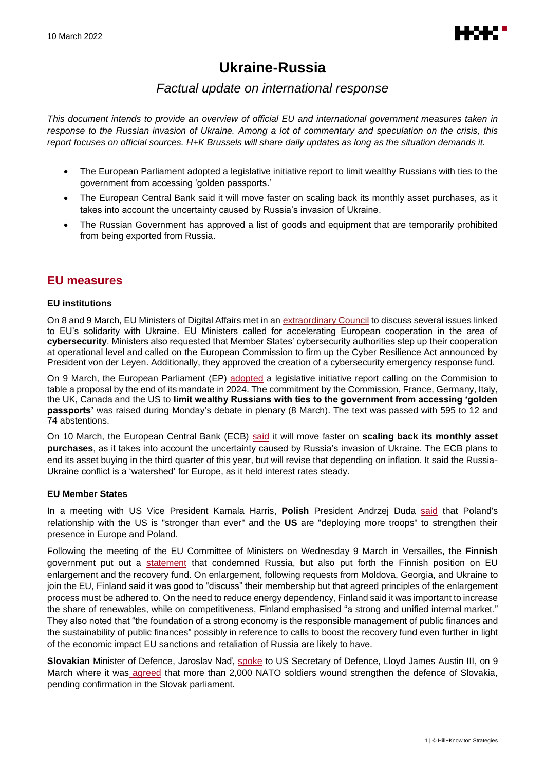# **Ukraine-Russia**

## *Factual update on international response*

*This document intends to provide an overview of official EU and international government measures taken in response to the Russian invasion of Ukraine. Among a lot of commentary and speculation on the crisis, this report focuses on official sources. H+K Brussels will share daily updates as long as the situation demands it.*

- The European Parliament adopted a legislative initiative report to limit wealthy Russians with ties to the government from accessing 'golden passports.'
- The European Central Bank said it will move faster on scaling back its monthly asset purchases, as it takes into account the uncertainty caused by Russia's invasion of Ukraine.
- The Russian Government has approved a list of goods and equipment that are temporarily prohibited from being exported from Russia.

### **EU measures**

#### **EU institutions**

On 8 and 9 March, EU Ministers of Digital Affairs met in an [extraordinary Council](https://presidence-francaise.consilium.europa.eu/en/news/member-states-united-in-supporting-ukraine-and-strengthening-the-eu-s-telecommunications-and-cybersecurity-resilience/) to discuss several issues linked to EU's solidarity with Ukraine. EU Ministers called for accelerating European cooperation in the area of **cybersecurity**. Ministers also requested that Member States' cybersecurity authorities step up their cooperation at operational level and called on the European Commission to firm up the Cyber Resilience Act announced by President von der Leyen. Additionally, they approved the creation of a cybersecurity emergency response fund.

On 9 March, the European Parliament (EP) [adopted](https://www.europarl.europa.eu/news/en/press-room/20220304IPR24787/meps-demand-a-ban-on-golden-passports-and-specific-rules-for-golden-visas) a legislative initiative report calling on the Commision to table a proposal by the end of its mandate in 2024. The commitment by the Commission, France, Germany, Italy, the UK, Canada and the US to **limit wealthy Russians with ties to the government from accessing 'golden passports'** was raised during Monday's debate in plenary (8 March). The text was passed with 595 to 12 and 74 abstentions.

On 10 March, the European Central Bank (ECB) [said](https://www.ecb.europa.eu/press/pr/date/2022/html/ecb.mp220310~2d19f8ba60.en.html) it will move faster on **scaling back its monthly asset purchases**, as it takes into account the uncertainty caused by Russia's invasion of Ukraine. The ECB plans to end its asset buying in the third quarter of this year, but will revise that depending on inflation. It said the Russia-Ukraine conflict is a 'watershed' for Europe, as it held interest rates steady.

#### **EU Member States**

In a meeting with US Vice President Kamala Harris, **Polish** President Andrzej Duda [said](https://news.sky.com/story/ukraine-russia-war-latest-news-putin-zelenskyy-ceasefire-nato-visa-live-updates-12541713) that Poland's relationship with the US is "stronger than ever" and the **US** are "deploying more troops" to strengthen their presence in Europe and Poland.

Following the meeting of the EU Committee of Ministers on Wednesday 9 March in Versailles, the **Finnish** government put out a **[statement](https://valtioneuvosto.fi/-/10616/eu-minvassa-epavirallinen-eu-huippukokous)** that condemned Russia, but also put forth the Finnish position on EU enlargement and the recovery fund. On enlargement, following requests from Moldova, Georgia, and Ukraine to join the EU, Finland said it was good to "discuss" their membership but that agreed principles of the enlargement process must be adhered to. On the need to reduce energy dependency, Finland said it was important to increase the share of renewables, while on competitiveness, Finland emphasised "a strong and unified internal market." They also noted that "the foundation of a strong economy is the responsible management of public finances and the sustainability of public finances" possibly in reference to calls to boost the recovery fund even further in light of the economic impact EU sanctions and retaliation of Russia are likely to have.

**Slovakian** Minister of Defence, Jaroslav Naď, [spoke](https://twitter.com/SecDef/status/1501364483771539457) to US Secretary of Defence, Lloyd James Austin III, on 9 March where it was [agreed](https://twitter.com/JaroNad/status/1501520380783173640) that more than 2,000 NATO soldiers wound strengthen the defence of Slovakia, pending confirmation in the Slovak parliament.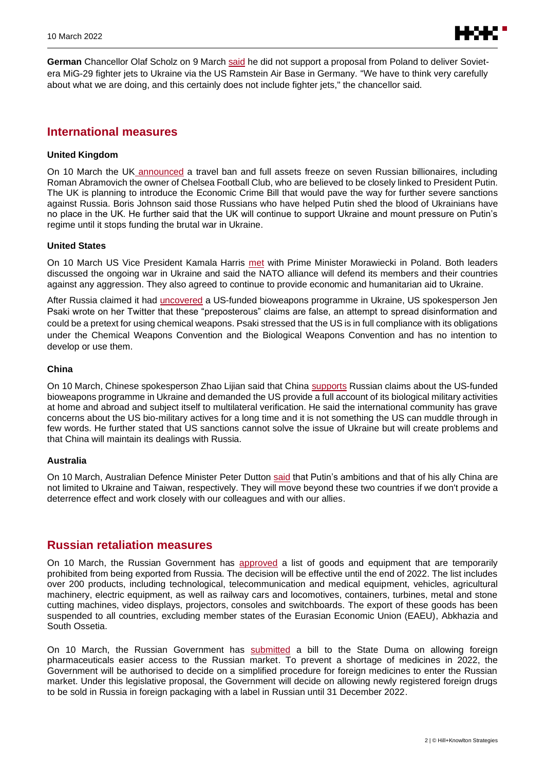

**German** Chancellor Olaf Scholz on 9 March [said](https://www.youtube.com/watch?v=2ysrVgnkdyI) he did not support a proposal from Poland to deliver Sovietera MiG-29 fighter jets to Ukraine via the US Ramstein Air Base in Germany. "We have to think very carefully about what we are doing, and this certainly does not include fighter jets," the chancellor said.

## **International measures**

#### **United Kingdom**

On 10 March the UK [announced](https://www.gov.uk/government/news/abramovich-and-deripaska-among-seven-oligarchs-targeted-in-estimated-15bn-sanction-hit) a travel ban and full assets freeze on seven Russian billionaires, including Roman Abramovich the owner of Chelsea Football Club, who are believed to be closely linked to President Putin. The UK is planning to introduce the Economic Crime Bill that would pave the way for further severe sanctions against Russia. Boris Johnson said those Russians who have helped Putin shed the blood of Ukrainians have no place in the UK. He further said that the UK will continue to support Ukraine and mount pressure on Putin's regime until it stops funding the brutal war in Ukraine.

#### **United States**

On 10 March US Vice President Kamala Harris [met](https://www.whitehouse.gov/briefing-room/speeches-remarks/2022/03/10/remarks-by-vice-president-harris-and-prime-minister-morawiecki-of-poland-before-bilateral-meeting/) with Prime Minister Morawiecki in Poland. Both leaders discussed the ongoing war in Ukraine and said the NATO alliance will defend its members and their countries against any aggression. They also agreed to continue to provide economic and humanitarian aid to Ukraine.

After Russia claimed it had [uncovered](https://twitter.com/PressSec?ref_src=twsrc%5Etfw%7Ctwcamp%5Etweetembed%7Ctwterm%5E1501676231988817927%7Ctwgr%5E%7Ctwcon%5Es2_&ref_url=https%3A%2F%2Fwww.aljazeera.com%2Fnews%2F2022%2F3%2F10%2Fus-denies-russian-claims-of-biowarfare-labs-in-ukraine) a US-funded bioweapons programme in Ukraine, US spokesperson Jen Psaki wrote on her Twitter that these "preposterous" claims are false, an attempt to spread disinformation and could be a pretext for using chemical weapons. Psaki stressed that the US is in full compliance with its obligations under the Chemical Weapons Convention and the Biological Weapons Convention and has no intention to develop or use them.

#### **China**

On 10 March, Chinese spokesperson Zhao Lijian said that China [supports](https://www.fmprc.gov.cn/mfa_eng/xwfw_665399/s2510_665401/2511_665403/202203/t20220310_10650654.html) Russian claims about the US-funded bioweapons programme in Ukraine and demanded the US provide a full account of its biological military activities at home and abroad and subject itself to multilateral verification. He said the international community has grave concerns about the US bio-military actives for a long time and it is not something the US can muddle through in few words. He further stated that US sanctions cannot solve the issue of Ukraine but will create problems and that China will maintain its dealings with Russia.

#### **Australia**

On 10 March, Australian Defence Minister Peter Dutto[n said](https://www.pm.gov.au/media/press-conference-enoggera-qld) that Putin's ambitions and that of his ally China are not limited to Ukraine and Taiwan, respectively. They will move beyond these two countries if we don't provide a deterrence effect and work closely with our colleagues and with our allies.

### **Russian retaliation measures**

On 10 March, the Russian Government has [approved](http://government.ru/en/docs/44762/) a list of goods and equipment that are temporarily prohibited from being exported from Russia. The decision will be effective until the end of 2022. The list includes over 200 products, including technological, telecommunication and medical equipment, vehicles, agricultural machinery, electric equipment, as well as railway cars and locomotives, containers, turbines, metal and stone cutting machines, video displays, projectors, consoles and switchboards. The export of these goods has been suspended to all countries, excluding member states of the Eurasian Economic Union (EAEU), Abkhazia and South Ossetia.

On 10 March, the Russian Government has [submitted](http://government.ru/en/docs/44764/) a bill to the State Duma on allowing foreign pharmaceuticals easier access to the Russian market. To prevent a shortage of medicines in 2022, the Government will be authorised to decide on a simplified procedure for foreign medicines to enter the Russian market. Under this legislative proposal, the Government will decide on allowing newly registered foreign drugs to be sold in Russia in foreign packaging with a label in Russian until 31 December 2022.